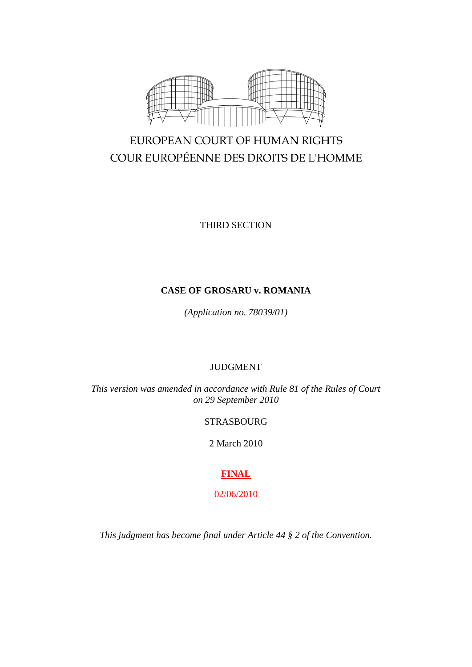

# EUROPEAN COURT OF HUMAN RIGHTS COUR EUROPÉENNE DES DROITS DE L'HOMME

THIRD SECTION

# **CASE OF GROSARU v. ROMANIA**

*(Application no. 78039/01)*

# JUDGMENT

*This version was amended in accordance with Rule 81 of the Rules of Court on 29 September 2010*

# STRASBOURG

2 March 2010

# **FINAL**

02/06/2010

*This judgment has become final under Article 44 § 2 of the Convention.*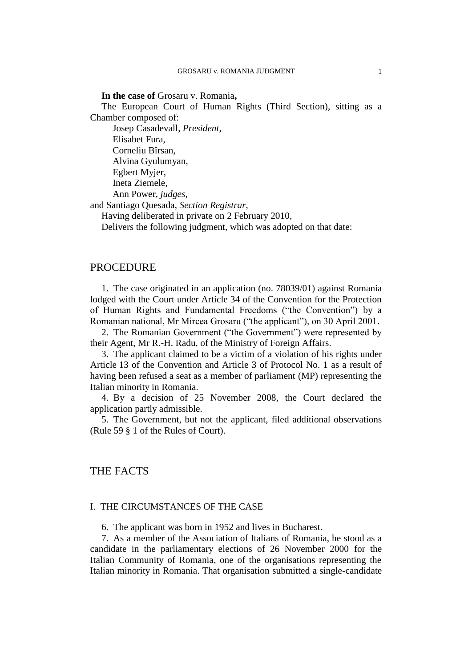#### **In the case of** Grosaru v. Romania**,**

The European Court of Human Rights (Third Section), sitting as a Chamber composed of:

Josep Casadevall, *President*, Elisabet Fura, Corneliu Bîrsan, Alvina Gyulumyan, Egbert Myjer, Ineta Ziemele, Ann Power, *judges*, and Santiago Quesada, *Section Registrar*,

Having deliberated in private on 2 February 2010,

Delivers the following judgment, which was adopted on that date:

## PROCEDURE

1. The case originated in an application (no. 78039/01) against Romania lodged with the Court under Article 34 of the Convention for the Protection of Human Rights and Fundamental Freedoms ("the Convention") by a Romanian national, Mr Mircea Grosaru ("the applicant"), on 30 April 2001.

2. The Romanian Government ("the Government") were represented by their Agent, Mr R.-H. Radu, of the Ministry of Foreign Affairs.

3. The applicant claimed to be a victim of a violation of his rights under Article 13 of the Convention and Article 3 of Protocol No. 1 as a result of having been refused a seat as a member of parliament (MP) representing the Italian minority in Romania.

4. By a decision of 25 November 2008, the Court declared the application partly admissible.

5. The Government, but not the applicant, filed additional observations (Rule 59 § 1 of the Rules of Court).

# THE FACTS

#### I. THE CIRCUMSTANCES OF THE CASE

6. The applicant was born in 1952 and lives in Bucharest.

7. As a member of the Association of Italians of Romania, he stood as a candidate in the parliamentary elections of 26 November 2000 for the Italian Community of Romania, one of the organisations representing the Italian minority in Romania. That organisation submitted a single-candidate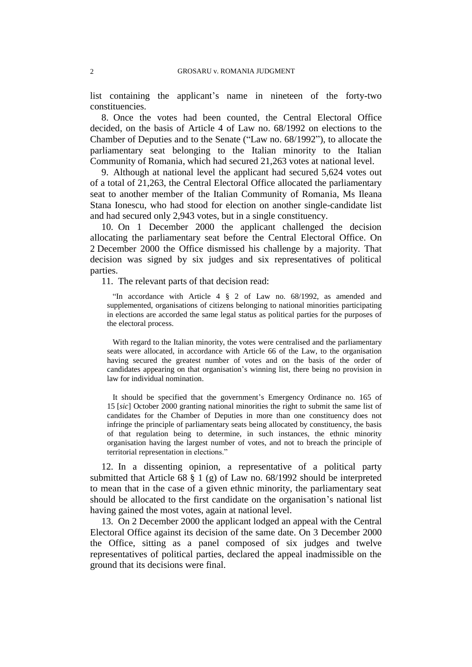list containing the applicant's name in nineteen of the forty-two constituencies.

8. Once the votes had been counted, the Central Electoral Office decided, on the basis of Article 4 of Law no. 68/1992 on elections to the Chamber of Deputies and to the Senate ("Law no. 68/1992"), to allocate the parliamentary seat belonging to the Italian minority to the Italian Community of Romania, which had secured 21,263 votes at national level.

9. Although at national level the applicant had secured 5,624 votes out of a total of 21,263, the Central Electoral Office allocated the parliamentary seat to another member of the Italian Community of Romania, Ms Ileana Stana Ionescu, who had stood for election on another single-candidate list and had secured only 2,943 votes, but in a single constituency.

10. On 1 December 2000 the applicant challenged the decision allocating the parliamentary seat before the Central Electoral Office. On 2 December 2000 the Office dismissed his challenge by a majority. That decision was signed by six judges and six representatives of political parties.

11. The relevant parts of that decision read:

"In accordance with Article 4 § 2 of Law no. 68/1992, as amended and supplemented, organisations of citizens belonging to national minorities participating in elections are accorded the same legal status as political parties for the purposes of the electoral process.

With regard to the Italian minority, the votes were centralised and the parliamentary seats were allocated, in accordance with Article 66 of the Law, to the organisation having secured the greatest number of votes and on the basis of the order of candidates appearing on that organisation's winning list, there being no provision in law for individual nomination.

It should be specified that the government's Emergency Ordinance no. 165 of 15 [*sic*] October 2000 granting national minorities the right to submit the same list of candidates for the Chamber of Deputies in more than one constituency does not infringe the principle of parliamentary seats being allocated by constituency, the basis of that regulation being to determine, in such instances, the ethnic minority organisation having the largest number of votes, and not to breach the principle of territorial representation in elections."

12. In a dissenting opinion, a representative of a political party submitted that Article 68 § 1 (g) of Law no. 68/1992 should be interpreted to mean that in the case of a given ethnic minority, the parliamentary seat should be allocated to the first candidate on the organisation's national list having gained the most votes, again at national level.

13. On 2 December 2000 the applicant lodged an appeal with the Central Electoral Office against its decision of the same date. On 3 December 2000 the Office, sitting as a panel composed of six judges and twelve representatives of political parties, declared the appeal inadmissible on the ground that its decisions were final.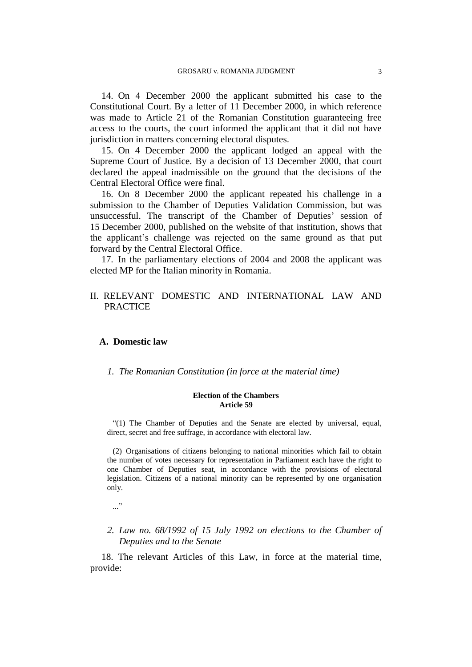14. On 4 December 2000 the applicant submitted his case to the Constitutional Court. By a letter of 11 December 2000, in which reference was made to Article 21 of the Romanian Constitution guaranteeing free access to the courts, the court informed the applicant that it did not have jurisdiction in matters concerning electoral disputes.

15. On 4 December 2000 the applicant lodged an appeal with the Supreme Court of Justice. By a decision of 13 December 2000, that court declared the appeal inadmissible on the ground that the decisions of the Central Electoral Office were final.

16. On 8 December 2000 the applicant repeated his challenge in a submission to the Chamber of Deputies Validation Commission, but was unsuccessful. The transcript of the Chamber of Deputies' session of 15 December 2000, published on the website of that institution, shows that the applicant's challenge was rejected on the same ground as that put forward by the Central Electoral Office.

17. In the parliamentary elections of 2004 and 2008 the applicant was elected MP for the Italian minority in Romania.

# II. RELEVANT DOMESTIC AND INTERNATIONAL LAW AND PRACTICE

## **A. Domestic law**

*1. The Romanian Constitution (in force at the material time)*

#### **Election of the Chambers Article 59**

"(1) The Chamber of Deputies and the Senate are elected by universal, equal, direct, secret and free suffrage, in accordance with electoral law.

(2) Organisations of citizens belonging to national minorities which fail to obtain the number of votes necessary for representation in Parliament each have the right to one Chamber of Deputies seat, in accordance with the provisions of electoral legislation. Citizens of a national minority can be represented by one organisation only.

- ..."
- *2. Law no. 68/1992 of 15 July 1992 on elections to the Chamber of Deputies and to the Senate*

18. The relevant Articles of this Law, in force at the material time, provide: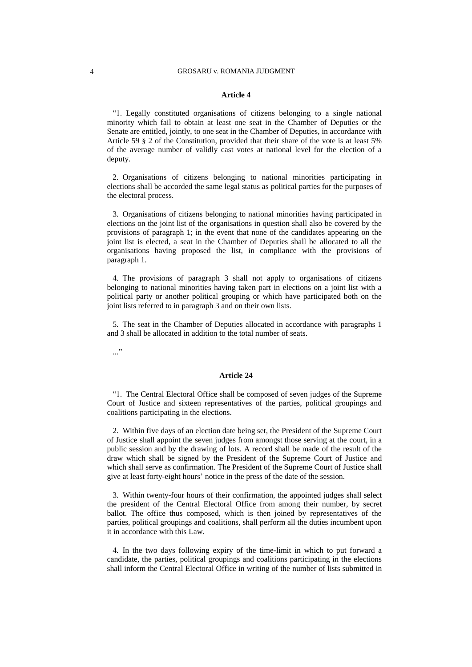#### **Article 4**

"1. Legally constituted organisations of citizens belonging to a single national minority which fail to obtain at least one seat in the Chamber of Deputies or the Senate are entitled, jointly, to one seat in the Chamber of Deputies, in accordance with Article 59 § 2 of the Constitution, provided that their share of the vote is at least 5% of the average number of validly cast votes at national level for the election of a deputy.

2. Organisations of citizens belonging to national minorities participating in elections shall be accorded the same legal status as political parties for the purposes of the electoral process.

3. Organisations of citizens belonging to national minorities having participated in elections on the joint list of the organisations in question shall also be covered by the provisions of paragraph 1; in the event that none of the candidates appearing on the joint list is elected, a seat in the Chamber of Deputies shall be allocated to all the organisations having proposed the list, in compliance with the provisions of paragraph 1.

4. The provisions of paragraph 3 shall not apply to organisations of citizens belonging to national minorities having taken part in elections on a joint list with a political party or another political grouping or which have participated both on the joint lists referred to in paragraph 3 and on their own lists.

5. The seat in the Chamber of Deputies allocated in accordance with paragraphs 1 and 3 shall be allocated in addition to the total number of seats.

..."

#### **Article 24**

"1. The Central Electoral Office shall be composed of seven judges of the Supreme Court of Justice and sixteen representatives of the parties, political groupings and coalitions participating in the elections.

2. Within five days of an election date being set, the President of the Supreme Court of Justice shall appoint the seven judges from amongst those serving at the court, in a public session and by the drawing of lots. A record shall be made of the result of the draw which shall be signed by the President of the Supreme Court of Justice and which shall serve as confirmation. The President of the Supreme Court of Justice shall give at least forty-eight hours' notice in the press of the date of the session.

3. Within twenty-four hours of their confirmation, the appointed judges shall select the president of the Central Electoral Office from among their number, by secret ballot. The office thus composed, which is then joined by representatives of the parties, political groupings and coalitions, shall perform all the duties incumbent upon it in accordance with this Law.

4. In the two days following expiry of the time-limit in which to put forward a candidate, the parties, political groupings and coalitions participating in the elections shall inform the Central Electoral Office in writing of the number of lists submitted in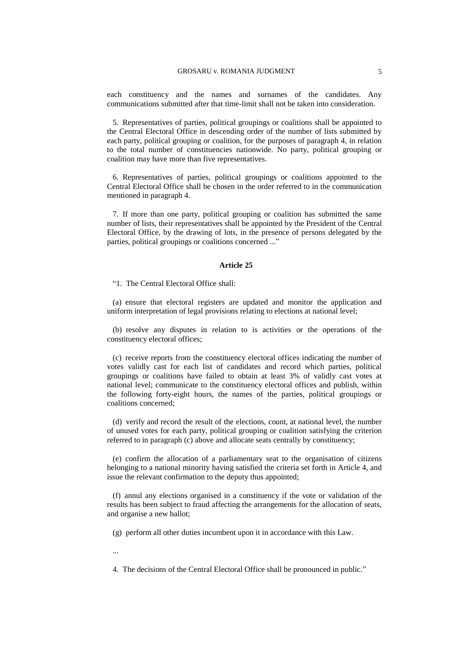each constituency and the names and surnames of the candidates. Any communications submitted after that time-limit shall not be taken into consideration.

5. Representatives of parties, political groupings or coalitions shall be appointed to the Central Electoral Office in descending order of the number of lists submitted by each party, political grouping or coalition, for the purposes of paragraph 4, in relation to the total number of constituencies nationwide. No party, political grouping or coalition may have more than five representatives.

6. Representatives of parties, political groupings or coalitions appointed to the Central Electoral Office shall be chosen in the order referred to in the communication mentioned in paragraph 4.

7. If more than one party, political grouping or coalition has submitted the same number of lists, their representatives shall be appointed by the President of the Central Electoral Office, by the drawing of lots, in the presence of persons delegated by the parties, political groupings or coalitions concerned ..."

#### **Article 25**

"1. The Central Electoral Office shall:

(a) ensure that electoral registers are updated and monitor the application and uniform interpretation of legal provisions relating to elections at national level;

(b) resolve any disputes in relation to is activities or the operations of the constituency electoral offices;

(c) receive reports from the constituency electoral offices indicating the number of votes validly cast for each list of candidates and record which parties, political groupings or coalitions have failed to obtain at least 3% of validly cast votes at national level; communicate to the constituency electoral offices and publish, within the following forty-eight hours, the names of the parties, political groupings or coalitions concerned;

(d) verify and record the result of the elections, count, at national level, the number of unused votes for each party, political grouping or coalition satisfying the criterion referred to in paragraph (c) above and allocate seats centrally by constituency;

(e) confirm the allocation of a parliamentary seat to the organisation of citizens belonging to a national minority having satisfied the criteria set forth in Article 4, and issue the relevant confirmation to the deputy thus appointed;

(f) annul any elections organised in a constituency if the vote or validation of the results has been subject to fraud affecting the arrangements for the allocation of seats, and organise a new ballot;

(g) perform all other duties incumbent upon it in accordance with this Law.

...

4. The decisions of the Central Electoral Office shall be pronounced in public."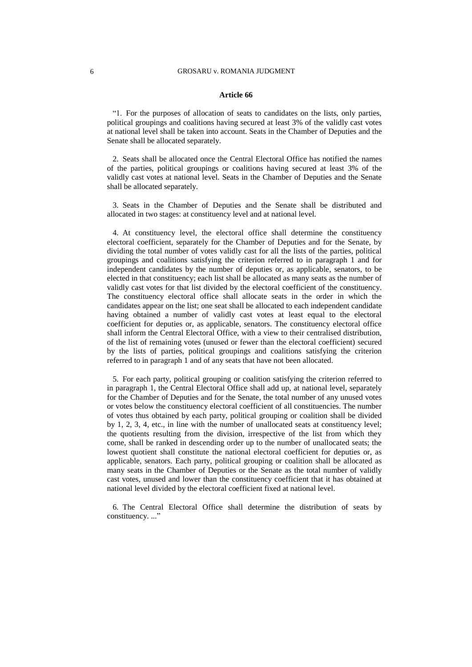#### **Article 66**

"1. For the purposes of allocation of seats to candidates on the lists, only parties, political groupings and coalitions having secured at least 3% of the validly cast votes at national level shall be taken into account. Seats in the Chamber of Deputies and the Senate shall be allocated separately.

2. Seats shall be allocated once the Central Electoral Office has notified the names of the parties, political groupings or coalitions having secured at least 3% of the validly cast votes at national level. Seats in the Chamber of Deputies and the Senate shall be allocated separately.

3. Seats in the Chamber of Deputies and the Senate shall be distributed and allocated in two stages: at constituency level and at national level.

4. At constituency level, the electoral office shall determine the constituency electoral coefficient, separately for the Chamber of Deputies and for the Senate, by dividing the total number of votes validly cast for all the lists of the parties, political groupings and coalitions satisfying the criterion referred to in paragraph 1 and for independent candidates by the number of deputies or, as applicable, senators, to be elected in that constituency; each list shall be allocated as many seats as the number of validly cast votes for that list divided by the electoral coefficient of the constituency. The constituency electoral office shall allocate seats in the order in which the candidates appear on the list; one seat shall be allocated to each independent candidate having obtained a number of validly cast votes at least equal to the electoral coefficient for deputies or, as applicable, senators. The constituency electoral office shall inform the Central Electoral Office, with a view to their centralised distribution, of the list of remaining votes (unused or fewer than the electoral coefficient) secured by the lists of parties, political groupings and coalitions satisfying the criterion referred to in paragraph 1 and of any seats that have not been allocated.

5. For each party, political grouping or coalition satisfying the criterion referred to in paragraph 1, the Central Electoral Office shall add up, at national level, separately for the Chamber of Deputies and for the Senate, the total number of any unused votes or votes below the constituency electoral coefficient of all constituencies. The number of votes thus obtained by each party, political grouping or coalition shall be divided by 1, 2, 3, 4, etc., in line with the number of unallocated seats at constituency level; the quotients resulting from the division, irrespective of the list from which they come, shall be ranked in descending order up to the number of unallocated seats; the lowest quotient shall constitute the national electoral coefficient for deputies or, as applicable, senators. Each party, political grouping or coalition shall be allocated as many seats in the Chamber of Deputies or the Senate as the total number of validly cast votes, unused and lower than the constituency coefficient that it has obtained at national level divided by the electoral coefficient fixed at national level.

6. The Central Electoral Office shall determine the distribution of seats by constituency...."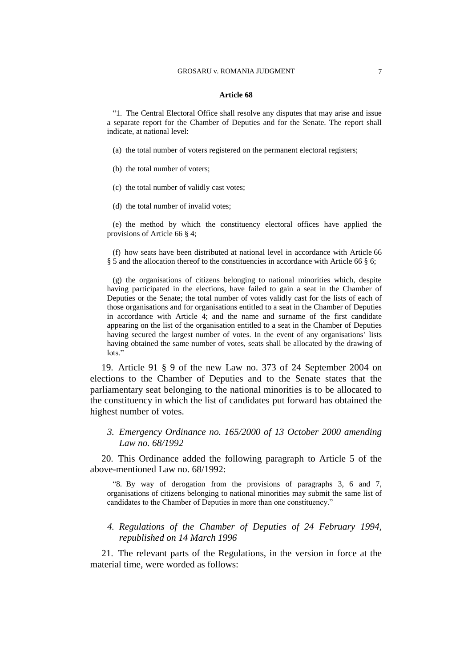#### **Article 68**

"1. The Central Electoral Office shall resolve any disputes that may arise and issue a separate report for the Chamber of Deputies and for the Senate. The report shall indicate, at national level:

(a) the total number of voters registered on the permanent electoral registers;

(b) the total number of voters;

(c) the total number of validly cast votes;

(d) the total number of invalid votes;

(e) the method by which the constituency electoral offices have applied the provisions of Article 66 § 4;

(f) how seats have been distributed at national level in accordance with Article 66 § 5 and the allocation thereof to the constituencies in accordance with Article 66 § 6;

(g) the organisations of citizens belonging to national minorities which, despite having participated in the elections, have failed to gain a seat in the Chamber of Deputies or the Senate; the total number of votes validly cast for the lists of each of those organisations and for organisations entitled to a seat in the Chamber of Deputies in accordance with Article 4; and the name and surname of the first candidate appearing on the list of the organisation entitled to a seat in the Chamber of Deputies having secured the largest number of votes. In the event of any organisations' lists having obtained the same number of votes, seats shall be allocated by the drawing of lots."

19. Article 91 § 9 of the new Law no. 373 of 24 September 2004 on elections to the Chamber of Deputies and to the Senate states that the parliamentary seat belonging to the national minorities is to be allocated to the constituency in which the list of candidates put forward has obtained the highest number of votes.

*3. Emergency Ordinance no. 165/2000 of 13 October 2000 amending Law no. 68/1992*

20. This Ordinance added the following paragraph to Article 5 of the above-mentioned Law no. 68/1992:

"8. By way of derogation from the provisions of paragraphs 3, 6 and 7, organisations of citizens belonging to national minorities may submit the same list of candidates to the Chamber of Deputies in more than one constituency."

## *4. Regulations of the Chamber of Deputies of 24 February 1994, republished on 14 March 1996*

21. The relevant parts of the Regulations, in the version in force at the material time, were worded as follows: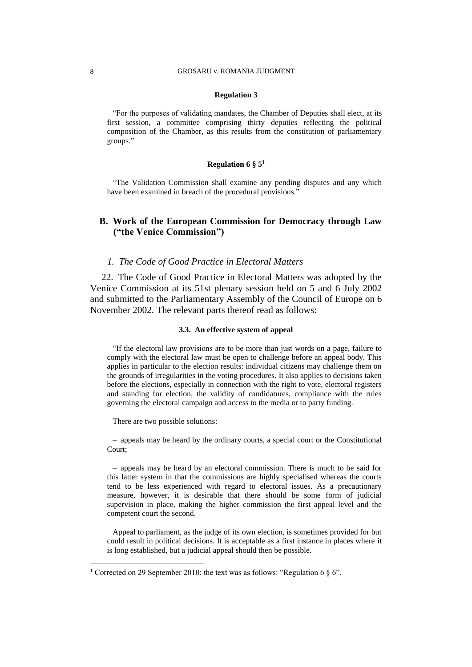#### **Regulation 3**

"For the purposes of validating mandates, the Chamber of Deputies shall elect, at its first session, a committee comprising thirty deputies reflecting the political composition of the Chamber, as this results from the constitution of parliamentary groups."

#### **Regulation 6 § 5<sup>1</sup>**

"The Validation Commission shall examine any pending disputes and any which have been examined in breach of the procedural provisions."

# **B. Work of the European Commission for Democracy through Law ("the Venice Commission")**

#### *1. The Code of Good Practice in Electoral Matters*

22. The Code of Good Practice in Electoral Matters was adopted by the Venice Commission at its 51st plenary session held on 5 and 6 July 2002 and submitted to the Parliamentary Assembly of the Council of Europe on 6 November 2002. The relevant parts thereof read as follows:

#### **3.3. An effective system of appeal**

"If the electoral law provisions are to be more than just words on a page, failure to comply with the electoral law must be open to challenge before an appeal body. This applies in particular to the election results: individual citizens may challenge them on the grounds of irregularities in the voting procedures. It also applies to decisions taken before the elections, especially in connection with the right to vote, electoral registers and standing for election, the validity of candidatures, compliance with the rules governing the electoral campaign and access to the media or to party funding.

There are two possible solutions:

– appeals may be heard by the ordinary courts, a special court or the Constitutional Court;

– appeals may be heard by an electoral commission. There is much to be said for this latter system in that the commissions are highly specialised whereas the courts tend to be less experienced with regard to electoral issues. As a precautionary measure, however, it is desirable that there should be some form of judicial supervision in place, making the higher commission the first appeal level and the competent court the second.

Appeal to parliament, as the judge of its own election, is sometimes provided for but could result in political decisions. It is acceptable as a first instance in places where it is long established, but a judicial appeal should then be possible.

 $\overline{a}$ 

<sup>&</sup>lt;sup>1</sup> Corrected on 29 September 2010: the text was as follows: "Regulation 6  $\S$  6".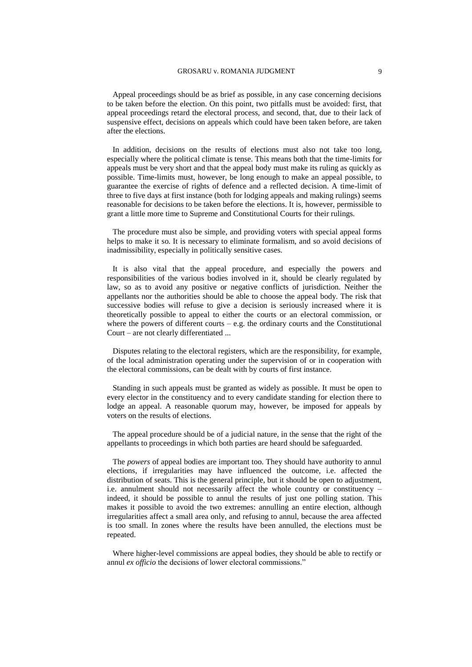Appeal proceedings should be as brief as possible, in any case concerning decisions to be taken before the election. On this point, two pitfalls must be avoided: first, that appeal proceedings retard the electoral process, and second, that, due to their lack of suspensive effect, decisions on appeals which could have been taken before, are taken after the elections.

In addition, decisions on the results of elections must also not take too long, especially where the political climate is tense. This means both that the time-limits for appeals must be very short and that the appeal body must make its ruling as quickly as possible. Time-limits must, however, be long enough to make an appeal possible, to guarantee the exercise of rights of defence and a reflected decision. A time-limit of three to five days at first instance (both for lodging appeals and making rulings) seems reasonable for decisions to be taken before the elections. It is, however, permissible to grant a little more time to Supreme and Constitutional Courts for their rulings.

The procedure must also be simple, and providing voters with special appeal forms helps to make it so. It is necessary to eliminate formalism, and so avoid decisions of inadmissibility, especially in politically sensitive cases.

It is also vital that the appeal procedure, and especially the powers and responsibilities of the various bodies involved in it, should be clearly regulated by law, so as to avoid any positive or negative conflicts of jurisdiction. Neither the appellants nor the authorities should be able to choose the appeal body. The risk that successive bodies will refuse to give a decision is seriously increased where it is theoretically possible to appeal to either the courts or an electoral commission, or where the powers of different courts  $-$  e.g. the ordinary courts and the Constitutional Court – are not clearly differentiated ...

Disputes relating to the electoral registers, which are the responsibility, for example, of the local administration operating under the supervision of or in cooperation with the electoral commissions, can be dealt with by courts of first instance.

Standing in such appeals must be granted as widely as possible. It must be open to every elector in the constituency and to every candidate standing for election there to lodge an appeal. A reasonable quorum may, however, be imposed for appeals by voters on the results of elections.

The appeal procedure should be of a judicial nature, in the sense that the right of the appellants to proceedings in which both parties are heard should be safeguarded.

The *powers* of appeal bodies are important too. They should have authority to annul elections, if irregularities may have influenced the outcome, i.e. affected the distribution of seats. This is the general principle, but it should be open to adjustment, i.e. annulment should not necessarily affect the whole country or constituency – indeed, it should be possible to annul the results of just one polling station. This makes it possible to avoid the two extremes: annulling an entire election, although irregularities affect a small area only, and refusing to annul, because the area affected is too small. In zones where the results have been annulled, the elections must be repeated.

Where higher-level commissions are appeal bodies, they should be able to rectify or annul *ex officio* the decisions of lower electoral commissions."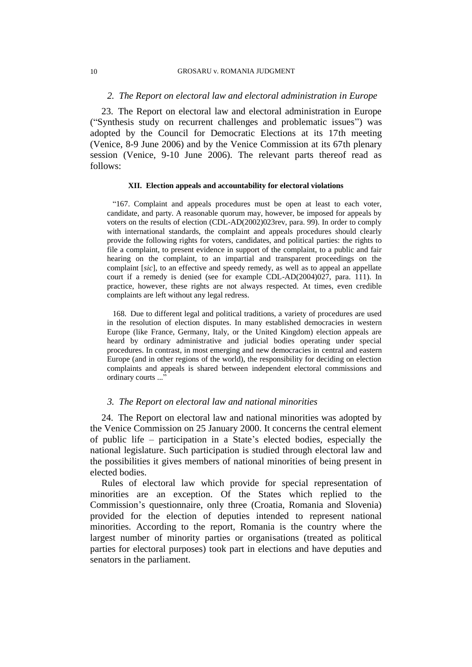#### 10 GROSARU v. ROMANIA JUDGMENT

## *2. The Report on electoral law and electoral administration in Europe*

23. The Report on electoral law and electoral administration in Europe ("Synthesis study on recurrent challenges and problematic issues") was adopted by the Council for Democratic Elections at its 17th meeting (Venice, 8-9 June 2006) and by the Venice Commission at its 67th plenary session (Venice, 9-10 June 2006). The relevant parts thereof read as follows:

#### **XII. Election appeals and accountability for electoral violations**

"167. Complaint and appeals procedures must be open at least to each voter, candidate, and party. A reasonable quorum may, however, be imposed for appeals by voters on the results of election (CDL-AD(2002)023rev, para. 99). In order to comply with international standards, the complaint and appeals procedures should clearly provide the following rights for voters, candidates, and political parties: the rights to file a complaint, to present evidence in support of the complaint, to a public and fair hearing on the complaint, to an impartial and transparent proceedings on the complaint [*sic*], to an effective and speedy remedy, as well as to appeal an appellate court if a remedy is denied (see for example CDL-AD(2004)027, para. 111). In practice, however, these rights are not always respected. At times, even credible complaints are left without any legal redress.

168. Due to different legal and political traditions, a variety of procedures are used in the resolution of election disputes. In many established democracies in western Europe (like France, Germany, Italy, or the United Kingdom) election appeals are heard by ordinary administrative and judicial bodies operating under special procedures. In contrast, in most emerging and new democracies in central and eastern Europe (and in other regions of the world), the responsibility for deciding on election complaints and appeals is shared between independent electoral commissions and ordinary courts ..."

## *3. The Report on electoral law and national minorities*

24. The Report on electoral law and national minorities was adopted by the Venice Commission on 25 January 2000. It concerns the central element of public life – participation in a State's elected bodies, especially the national legislature. Such participation is studied through electoral law and the possibilities it gives members of national minorities of being present in elected bodies.

Rules of electoral law which provide for special representation of minorities are an exception. Of the States which replied to the Commission's questionnaire, only three (Croatia, Romania and Slovenia) provided for the election of deputies intended to represent national minorities. According to the report, Romania is the country where the largest number of minority parties or organisations (treated as political parties for electoral purposes) took part in elections and have deputies and senators in the parliament.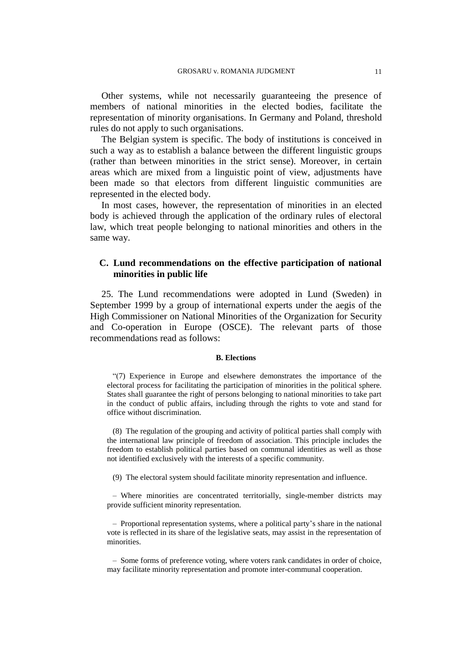Other systems, while not necessarily guaranteeing the presence of members of national minorities in the elected bodies, facilitate the representation of minority organisations. In Germany and Poland, threshold rules do not apply to such organisations.

The Belgian system is specific. The body of institutions is conceived in such a way as to establish a balance between the different linguistic groups (rather than between minorities in the strict sense). Moreover, in certain areas which are mixed from a linguistic point of view, adjustments have been made so that electors from different linguistic communities are represented in the elected body.

In most cases, however, the representation of minorities in an elected body is achieved through the application of the ordinary rules of electoral law, which treat people belonging to national minorities and others in the same way.

# **C. Lund recommendations on the effective participation of national minorities in public life**

25. The Lund recommendations were adopted in Lund (Sweden) in September 1999 by a group of international experts under the aegis of the High Commissioner on National Minorities of the Organization for Security and Co-operation in Europe (OSCE). The relevant parts of those recommendations read as follows:

#### **B. Elections**

"(7) Experience in Europe and elsewhere demonstrates the importance of the electoral process for facilitating the participation of minorities in the political sphere. States shall guarantee the right of persons belonging to national minorities to take part in the conduct of public affairs, including through the rights to vote and stand for office without discrimination.

(8) The regulation of the grouping and activity of political parties shall comply with the international law principle of freedom of association. This principle includes the freedom to establish political parties based on communal identities as well as those not identified exclusively with the interests of a specific community.

(9) The electoral system should facilitate minority representation and influence.

– Where minorities are concentrated territorially, single-member districts may provide sufficient minority representation.

– Proportional representation systems, where a political party's share in the national vote is reflected in its share of the legislative seats, may assist in the representation of minorities.

– Some forms of preference voting, where voters rank candidates in order of choice, may facilitate minority representation and promote inter-communal cooperation.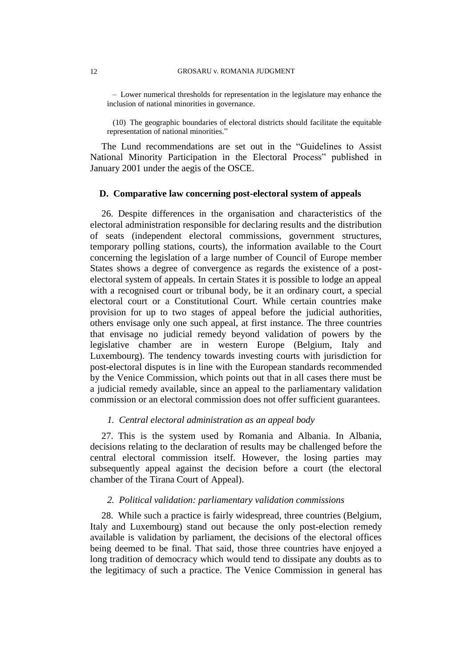– Lower numerical thresholds for representation in the legislature may enhance the inclusion of national minorities in governance.

(10) The geographic boundaries of electoral districts should facilitate the equitable representation of national minorities."

The Lund recommendations are set out in the "Guidelines to Assist National Minority Participation in the Electoral Process" published in January 2001 under the aegis of the OSCE.

## **D. Comparative law concerning post-electoral system of appeals**

26. Despite differences in the organisation and characteristics of the electoral administration responsible for declaring results and the distribution of seats (independent electoral commissions, government structures, temporary polling stations, courts), the information available to the Court concerning the legislation of a large number of Council of Europe member States shows a degree of convergence as regards the existence of a postelectoral system of appeals. In certain States it is possible to lodge an appeal with a recognised court or tribunal body, be it an ordinary court, a special electoral court or a Constitutional Court. While certain countries make provision for up to two stages of appeal before the judicial authorities, others envisage only one such appeal, at first instance. The three countries that envisage no judicial remedy beyond validation of powers by the legislative chamber are in western Europe (Belgium, Italy and Luxembourg). The tendency towards investing courts with jurisdiction for post-electoral disputes is in line with the European standards recommended by the Venice Commission, which points out that in all cases there must be a judicial remedy available, since an appeal to the parliamentary validation commission or an electoral commission does not offer sufficient guarantees.

## *1. Central electoral administration as an appeal body*

27. This is the system used by Romania and Albania. In Albania, decisions relating to the declaration of results may be challenged before the central electoral commission itself. However, the losing parties may subsequently appeal against the decision before a court (the electoral chamber of the Tirana Court of Appeal).

## *2. Political validation: parliamentary validation commissions*

28. While such a practice is fairly widespread, three countries (Belgium, Italy and Luxembourg) stand out because the only post-election remedy available is validation by parliament, the decisions of the electoral offices being deemed to be final. That said, those three countries have enjoyed a long tradition of democracy which would tend to dissipate any doubts as to the legitimacy of such a practice. The Venice Commission in general has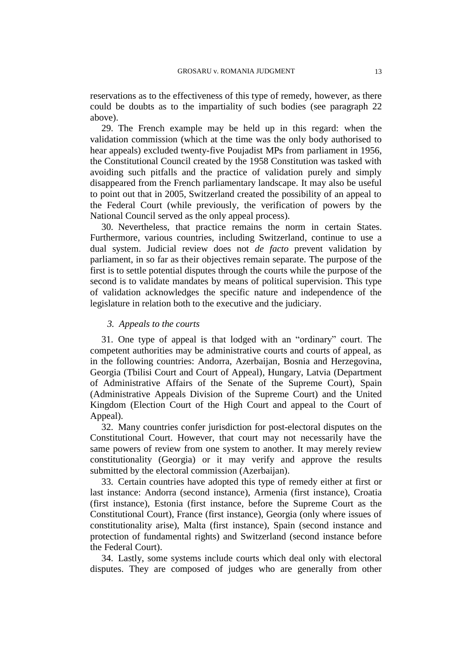reservations as to the effectiveness of this type of remedy, however, as there could be doubts as to the impartiality of such bodies (see paragraph 22 above).

29. The French example may be held up in this regard: when the validation commission (which at the time was the only body authorised to hear appeals) excluded twenty-five Poujadist MPs from parliament in 1956, the Constitutional Council created by the 1958 Constitution was tasked with avoiding such pitfalls and the practice of validation purely and simply disappeared from the French parliamentary landscape. It may also be useful to point out that in 2005, Switzerland created the possibility of an appeal to the Federal Court (while previously, the verification of powers by the National Council served as the only appeal process).

30. Nevertheless, that practice remains the norm in certain States. Furthermore, various countries, including Switzerland, continue to use a dual system. Judicial review does not *de facto* prevent validation by parliament, in so far as their objectives remain separate. The purpose of the first is to settle potential disputes through the courts while the purpose of the second is to validate mandates by means of political supervision. This type of validation acknowledges the specific nature and independence of the legislature in relation both to the executive and the judiciary.

#### *3. Appeals to the courts*

31. One type of appeal is that lodged with an "ordinary" court. The competent authorities may be administrative courts and courts of appeal, as in the following countries: Andorra, Azerbaijan, Bosnia and Herzegovina, Georgia (Tbilisi Court and Court of Appeal), Hungary, Latvia (Department of Administrative Affairs of the Senate of the Supreme Court), Spain (Administrative Appeals Division of the Supreme Court) and the United Kingdom (Election Court of the High Court and appeal to the Court of Appeal).

32. Many countries confer jurisdiction for post-electoral disputes on the Constitutional Court. However, that court may not necessarily have the same powers of review from one system to another. It may merely review constitutionality (Georgia) or it may verify and approve the results submitted by the electoral commission (Azerbaijan).

33. Certain countries have adopted this type of remedy either at first or last instance: Andorra (second instance), Armenia (first instance), Croatia (first instance), Estonia (first instance, before the Supreme Court as the Constitutional Court), France (first instance), Georgia (only where issues of constitutionality arise), Malta (first instance), Spain (second instance and protection of fundamental rights) and Switzerland (second instance before the Federal Court).

34. Lastly, some systems include courts which deal only with electoral disputes. They are composed of judges who are generally from other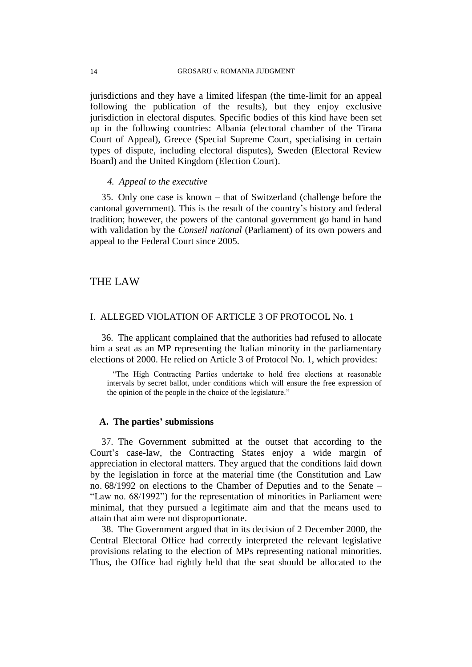jurisdictions and they have a limited lifespan (the time-limit for an appeal following the publication of the results), but they enjoy exclusive jurisdiction in electoral disputes. Specific bodies of this kind have been set up in the following countries: Albania (electoral chamber of the Tirana Court of Appeal), Greece (Special Supreme Court, specialising in certain types of dispute, including electoral disputes), Sweden (Electoral Review Board) and the United Kingdom (Election Court).

#### *4. Appeal to the executive*

35. Only one case is known – that of Switzerland (challenge before the cantonal government). This is the result of the country's history and federal tradition; however, the powers of the cantonal government go hand in hand with validation by the *Conseil national* (Parliament) of its own powers and appeal to the Federal Court since 2005.

# THE LAW

# I. ALLEGED VIOLATION OF ARTICLE 3 OF PROTOCOL No. 1

36. The applicant complained that the authorities had refused to allocate him a seat as an MP representing the Italian minority in the parliamentary elections of 2000. He relied on Article 3 of Protocol No. 1, which provides:

"The High Contracting Parties undertake to hold free elections at reasonable intervals by secret ballot, under conditions which will ensure the free expression of the opinion of the people in the choice of the legislature."

## **A. The parties' submissions**

37. The Government submitted at the outset that according to the Court's case-law, the Contracting States enjoy a wide margin of appreciation in electoral matters. They argued that the conditions laid down by the legislation in force at the material time (the Constitution and Law no. 68/1992 on elections to the Chamber of Deputies and to the Senate – "Law no. 68/1992") for the representation of minorities in Parliament were minimal, that they pursued a legitimate aim and that the means used to attain that aim were not disproportionate.

38. The Government argued that in its decision of 2 December 2000, the Central Electoral Office had correctly interpreted the relevant legislative provisions relating to the election of MPs representing national minorities. Thus, the Office had rightly held that the seat should be allocated to the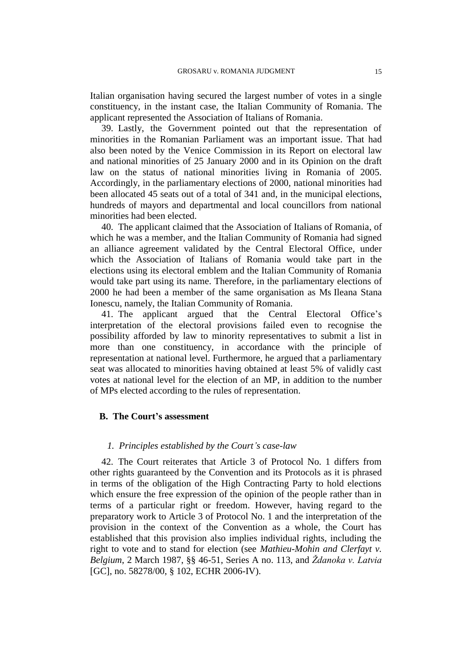Italian organisation having secured the largest number of votes in a single constituency, in the instant case, the Italian Community of Romania. The applicant represented the Association of Italians of Romania.

39. Lastly, the Government pointed out that the representation of minorities in the Romanian Parliament was an important issue. That had also been noted by the Venice Commission in its Report on electoral law and national minorities of 25 January 2000 and in its Opinion on the draft law on the status of national minorities living in Romania of 2005. Accordingly, in the parliamentary elections of 2000, national minorities had been allocated 45 seats out of a total of 341 and, in the municipal elections, hundreds of mayors and departmental and local councillors from national minorities had been elected.

40. The applicant claimed that the Association of Italians of Romania, of which he was a member, and the Italian Community of Romania had signed an alliance agreement validated by the Central Electoral Office, under which the Association of Italians of Romania would take part in the elections using its electoral emblem and the Italian Community of Romania would take part using its name. Therefore, in the parliamentary elections of 2000 he had been a member of the same organisation as Ms Ileana Stana Ionescu, namely, the Italian Community of Romania.

41. The applicant argued that the Central Electoral Office's interpretation of the electoral provisions failed even to recognise the possibility afforded by law to minority representatives to submit a list in more than one constituency, in accordance with the principle of representation at national level. Furthermore, he argued that a parliamentary seat was allocated to minorities having obtained at least 5% of validly cast votes at national level for the election of an MP, in addition to the number of MPs elected according to the rules of representation.

## **B. The Court's assessment**

## *1. Principles established by the Court's case-law*

42. The Court reiterates that Article 3 of Protocol No. 1 differs from other rights guaranteed by the Convention and its Protocols as it is phrased in terms of the obligation of the High Contracting Party to hold elections which ensure the free expression of the opinion of the people rather than in terms of a particular right or freedom. However, having regard to the preparatory work to Article 3 of Protocol No. 1 and the interpretation of the provision in the context of the Convention as a whole, the Court has established that this provision also implies individual rights, including the right to vote and to stand for election (see *Mathieu-Mohin and Clerfayt v. Belgium*, 2 March 1987, §§ 46-51, Series A no. 113, and *Ždanoka v. Latvia* [GC], no. 58278/00, § 102, ECHR 2006-IV).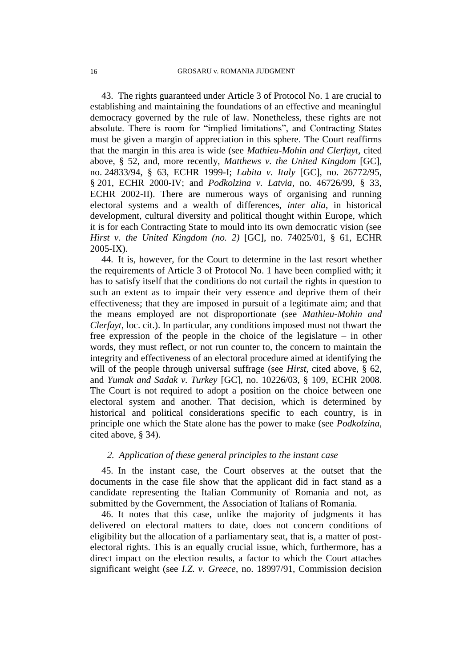43. The rights guaranteed under Article 3 of Protocol No. 1 are crucial to establishing and maintaining the foundations of an effective and meaningful democracy governed by the rule of law. Nonetheless, these rights are not absolute. There is room for "implied limitations", and Contracting States must be given a margin of appreciation in this sphere. The Court reaffirms that the margin in this area is wide (see *Mathieu-Mohin and Clerfayt*, cited above, § 52, and, more recently, *Matthews v. the United Kingdom* [GC], no. 24833/94, § 63, ECHR 1999-I; *Labita v. Italy* [GC], no. 26772/95, § 201, ECHR 2000-IV; and *Podkolzina v. Latvia*, no. 46726/99, § 33, ECHR 2002-II). There are numerous ways of organising and running electoral systems and a wealth of differences, *inter alia*, in historical development, cultural diversity and political thought within Europe, which it is for each Contracting State to mould into its own democratic vision (see *Hirst v. the United Kingdom (no. 2)* [GC], no. 74025/01, § 61, ECHR 2005-IX).

44. It is, however, for the Court to determine in the last resort whether the requirements of Article 3 of Protocol No. 1 have been complied with; it has to satisfy itself that the conditions do not curtail the rights in question to such an extent as to impair their very essence and deprive them of their effectiveness; that they are imposed in pursuit of a legitimate aim; and that the means employed are not disproportionate (see *Mathieu-Mohin and Clerfayt*, loc. cit.). In particular, any conditions imposed must not thwart the free expression of the people in the choice of the legislature – in other words, they must reflect, or not run counter to, the concern to maintain the integrity and effectiveness of an electoral procedure aimed at identifying the will of the people through universal suffrage (see *Hirst*, cited above, § 62, and *Yumak and Sadak v. Turkey* [GC], no. 10226/03, § 109, ECHR 2008. The Court is not required to adopt a position on the choice between one electoral system and another. That decision, which is determined by historical and political considerations specific to each country, is in principle one which the State alone has the power to make (see *Podkolzina*, cited above, § 34).

#### *2. Application of these general principles to the instant case*

45. In the instant case, the Court observes at the outset that the documents in the case file show that the applicant did in fact stand as a candidate representing the Italian Community of Romania and not, as submitted by the Government, the Association of Italians of Romania.

46. It notes that this case, unlike the majority of judgments it has delivered on electoral matters to date, does not concern conditions of eligibility but the allocation of a parliamentary seat, that is, a matter of postelectoral rights. This is an equally crucial issue, which, furthermore, has a direct impact on the election results, a factor to which the Court attaches significant weight (see *I.Z. v. Greece*, no. 18997/91, Commission decision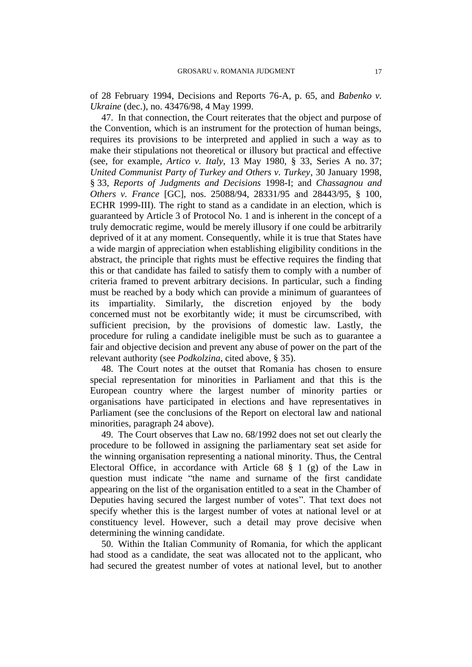of 28 February 1994, Decisions and Reports 76-A, p. 65, and *Babenko v. Ukraine* (dec.), no. 43476/98, 4 May 1999.

47. In that connection, the Court reiterates that the object and purpose of the Convention, which is an instrument for the protection of human beings, requires its provisions to be interpreted and applied in such a way as to make their stipulations not theoretical or illusory but practical and effective (see, for example, *Artico v. Italy*, 13 May 1980, § 33, Series A no. 37; *United Communist Party of Turkey and Others v. Turkey*, 30 January 1998, § 33, *Reports of Judgments and Decisions* 1998-I; and *Chassagnou and Others v. France* [GC], nos. 25088/94, 28331/95 and 28443/95, § 100, ECHR 1999-III). The right to stand as a candidate in an election, which is guaranteed by Article 3 of Protocol No. 1 and is inherent in the concept of a truly democratic regime, would be merely illusory if one could be arbitrarily deprived of it at any moment. Consequently, while it is true that States have a wide margin of appreciation when establishing eligibility conditions in the abstract, the principle that rights must be effective requires the finding that this or that candidate has failed to satisfy them to comply with a number of criteria framed to prevent arbitrary decisions. In particular, such a finding must be reached by a body which can provide a minimum of guarantees of its impartiality. Similarly, the discretion enjoyed by the body concerned must not be exorbitantly wide; it must be circumscribed, with sufficient precision, by the provisions of domestic law. Lastly, the procedure for ruling a candidate ineligible must be such as to guarantee a fair and objective decision and prevent any abuse of power on the part of the relevant authority (see *Podkolzina*, cited above, § 35).

48. The Court notes at the outset that Romania has chosen to ensure special representation for minorities in Parliament and that this is the European country where the largest number of minority parties or organisations have participated in elections and have representatives in Parliament (see the conclusions of the Report on electoral law and national minorities, paragraph 24 above).

49. The Court observes that Law no. 68/1992 does not set out clearly the procedure to be followed in assigning the parliamentary seat set aside for the winning organisation representing a national minority. Thus, the Central Electoral Office, in accordance with Article 68 § 1 (g) of the Law in question must indicate "the name and surname of the first candidate appearing on the list of the organisation entitled to a seat in the Chamber of Deputies having secured the largest number of votes". That text does not specify whether this is the largest number of votes at national level or at constituency level. However, such a detail may prove decisive when determining the winning candidate.

50. Within the Italian Community of Romania, for which the applicant had stood as a candidate, the seat was allocated not to the applicant, who had secured the greatest number of votes at national level, but to another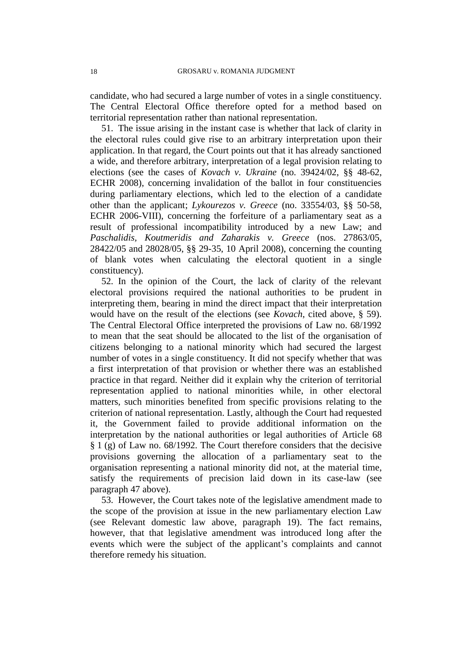candidate, who had secured a large number of votes in a single constituency. The Central Electoral Office therefore opted for a method based on territorial representation rather than national representation.

51. The issue arising in the instant case is whether that lack of clarity in the electoral rules could give rise to an arbitrary interpretation upon their application. In that regard, the Court points out that it has already sanctioned a wide, and therefore arbitrary, interpretation of a legal provision relating to elections (see the cases of *Kovach v. Ukraine* (no. 39424/02, §§ 48-62, ECHR 2008), concerning invalidation of the ballot in four constituencies during parliamentary elections, which led to the election of a candidate other than the applicant; *Lykourezos v. Greece* (no. 33554/03, §§ 50-58, ECHR 2006-VIII), concerning the forfeiture of a parliamentary seat as a result of professional incompatibility introduced by a new Law; and *Paschalidis, Koutmeridis and Zaharakis v. Greece* (nos. 27863/05, 28422/05 and 28028/05, §§ 29-35, 10 April 2008), concerning the counting of blank votes when calculating the electoral quotient in a single constituency).

52. In the opinion of the Court, the lack of clarity of the relevant electoral provisions required the national authorities to be prudent in interpreting them, bearing in mind the direct impact that their interpretation would have on the result of the elections (see *Kovach*, cited above, § 59). The Central Electoral Office interpreted the provisions of Law no. 68/1992 to mean that the seat should be allocated to the list of the organisation of citizens belonging to a national minority which had secured the largest number of votes in a single constituency. It did not specify whether that was a first interpretation of that provision or whether there was an established practice in that regard. Neither did it explain why the criterion of territorial representation applied to national minorities while, in other electoral matters, such minorities benefited from specific provisions relating to the criterion of national representation. Lastly, although the Court had requested it, the Government failed to provide additional information on the interpretation by the national authorities or legal authorities of Article 68 § 1 (g) of Law no. 68/1992. The Court therefore considers that the decisive provisions governing the allocation of a parliamentary seat to the organisation representing a national minority did not, at the material time, satisfy the requirements of precision laid down in its case-law (see paragraph 47 above).

53. However, the Court takes note of the legislative amendment made to the scope of the provision at issue in the new parliamentary election Law (see Relevant domestic law above, paragraph 19). The fact remains, however, that that legislative amendment was introduced long after the events which were the subject of the applicant's complaints and cannot therefore remedy his situation.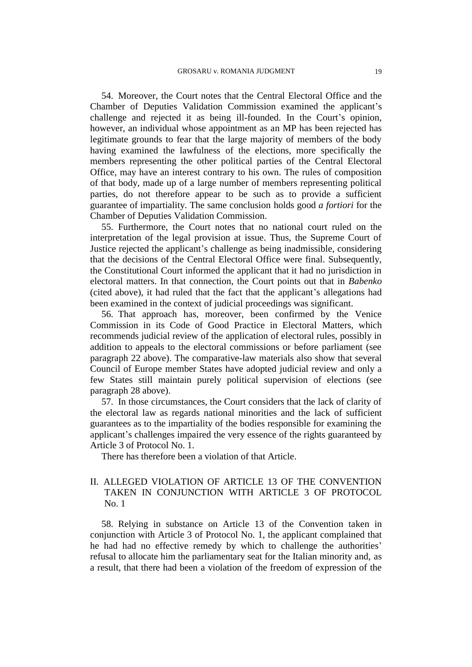54. Moreover, the Court notes that the Central Electoral Office and the Chamber of Deputies Validation Commission examined the applicant's challenge and rejected it as being ill-founded. In the Court's opinion, however, an individual whose appointment as an MP has been rejected has legitimate grounds to fear that the large majority of members of the body having examined the lawfulness of the elections, more specifically the members representing the other political parties of the Central Electoral Office, may have an interest contrary to his own. The rules of composition of that body, made up of a large number of members representing political parties, do not therefore appear to be such as to provide a sufficient guarantee of impartiality. The same conclusion holds good *a fortiori* for the Chamber of Deputies Validation Commission.

55. Furthermore, the Court notes that no national court ruled on the interpretation of the legal provision at issue. Thus, the Supreme Court of Justice rejected the applicant's challenge as being inadmissible, considering that the decisions of the Central Electoral Office were final. Subsequently, the Constitutional Court informed the applicant that it had no jurisdiction in electoral matters. In that connection, the Court points out that in *Babenko* (cited above), it had ruled that the fact that the applicant's allegations had been examined in the context of judicial proceedings was significant.

56. That approach has, moreover, been confirmed by the Venice Commission in its Code of Good Practice in Electoral Matters, which recommends judicial review of the application of electoral rules, possibly in addition to appeals to the electoral commissions or before parliament (see paragraph 22 above). The comparative-law materials also show that several Council of Europe member States have adopted judicial review and only a few States still maintain purely political supervision of elections (see paragraph 28 above).

57. In those circumstances, the Court considers that the lack of clarity of the electoral law as regards national minorities and the lack of sufficient guarantees as to the impartiality of the bodies responsible for examining the applicant's challenges impaired the very essence of the rights guaranteed by Article 3 of Protocol No. 1.

There has therefore been a violation of that Article.

# II. ALLEGED VIOLATION OF ARTICLE 13 OF THE CONVENTION TAKEN IN CONJUNCTION WITH ARTICLE 3 OF PROTOCOL No. 1

58. Relying in substance on Article 13 of the Convention taken in conjunction with Article 3 of Protocol No. 1, the applicant complained that he had had no effective remedy by which to challenge the authorities' refusal to allocate him the parliamentary seat for the Italian minority and, as a result, that there had been a violation of the freedom of expression of the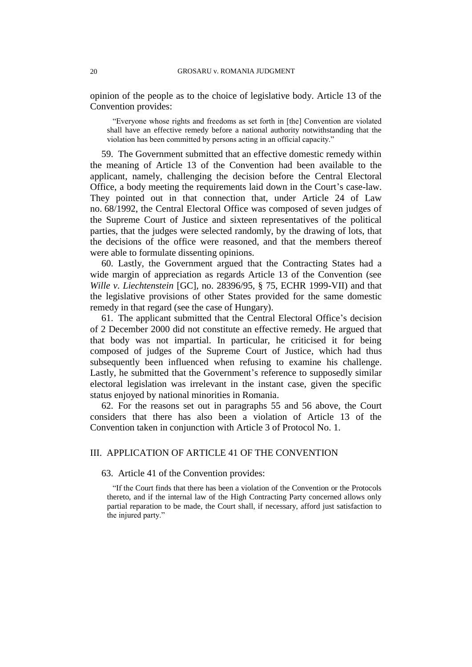opinion of the people as to the choice of legislative body. Article 13 of the Convention provides:

"Everyone whose rights and freedoms as set forth in [the] Convention are violated shall have an effective remedy before a national authority notwithstanding that the violation has been committed by persons acting in an official capacity."

59. The Government submitted that an effective domestic remedy within the meaning of Article 13 of the Convention had been available to the applicant, namely, challenging the decision before the Central Electoral Office, a body meeting the requirements laid down in the Court's case-law. They pointed out in that connection that, under Article 24 of Law no. 68/1992, the Central Electoral Office was composed of seven judges of the Supreme Court of Justice and sixteen representatives of the political parties, that the judges were selected randomly, by the drawing of lots, that the decisions of the office were reasoned, and that the members thereof were able to formulate dissenting opinions.

60. Lastly, the Government argued that the Contracting States had a wide margin of appreciation as regards Article 13 of the Convention (see *Wille v. Liechtenstein* [GC], no. 28396/95, § 75, ECHR 1999-VII) and that the legislative provisions of other States provided for the same domestic remedy in that regard (see the case of Hungary).

61. The applicant submitted that the Central Electoral Office's decision of 2 December 2000 did not constitute an effective remedy. He argued that that body was not impartial. In particular, he criticised it for being composed of judges of the Supreme Court of Justice, which had thus subsequently been influenced when refusing to examine his challenge. Lastly, he submitted that the Government's reference to supposedly similar electoral legislation was irrelevant in the instant case, given the specific status enjoyed by national minorities in Romania.

62. For the reasons set out in paragraphs 55 and 56 above, the Court considers that there has also been a violation of Article 13 of the Convention taken in conjunction with Article 3 of Protocol No. 1.

## III. APPLICATION OF ARTICLE 41 OF THE CONVENTION

## 63. Article 41 of the Convention provides:

"If the Court finds that there has been a violation of the Convention or the Protocols thereto, and if the internal law of the High Contracting Party concerned allows only partial reparation to be made, the Court shall, if necessary, afford just satisfaction to the injured party."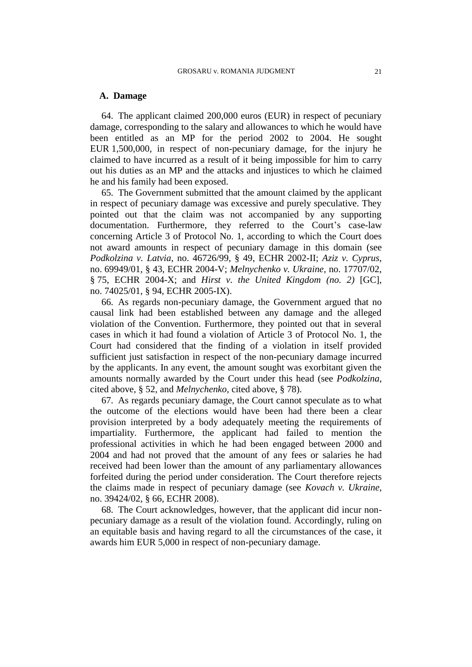## **A. Damage**

64. The applicant claimed 200,000 euros (EUR) in respect of pecuniary damage, corresponding to the salary and allowances to which he would have been entitled as an MP for the period 2002 to 2004. He sought EUR 1,500,000, in respect of non-pecuniary damage, for the injury he claimed to have incurred as a result of it being impossible for him to carry out his duties as an MP and the attacks and injustices to which he claimed he and his family had been exposed.

65. The Government submitted that the amount claimed by the applicant in respect of pecuniary damage was excessive and purely speculative. They pointed out that the claim was not accompanied by any supporting documentation. Furthermore, they referred to the Court's case-law concerning Article 3 of Protocol No. 1, according to which the Court does not award amounts in respect of pecuniary damage in this domain (see *Podkolzina v. Latvia*, no. 46726/99, § 49, ECHR 2002-II; *Aziz v. Cyprus*, no. 69949/01, § 43, ECHR 2004-V; *Melnychenko v. Ukraine*, no. 17707/02, § 75, ECHR 2004-X; and *Hirst v. the United Kingdom (no. 2)* [GC], no. 74025/01, § 94, ECHR 2005-IX).

66. As regards non-pecuniary damage, the Government argued that no causal link had been established between any damage and the alleged violation of the Convention. Furthermore, they pointed out that in several cases in which it had found a violation of Article 3 of Protocol No. 1, the Court had considered that the finding of a violation in itself provided sufficient just satisfaction in respect of the non-pecuniary damage incurred by the applicants. In any event, the amount sought was exorbitant given the amounts normally awarded by the Court under this head (see *Podkolzina*, cited above, § 52, and *Melnychenko*, cited above, § 78).

67. As regards pecuniary damage, the Court cannot speculate as to what the outcome of the elections would have been had there been a clear provision interpreted by a body adequately meeting the requirements of impartiality. Furthermore, the applicant had failed to mention the professional activities in which he had been engaged between 2000 and 2004 and had not proved that the amount of any fees or salaries he had received had been lower than the amount of any parliamentary allowances forfeited during the period under consideration. The Court therefore rejects the claims made in respect of pecuniary damage (see *Kovach v. Ukraine*, no. 39424/02, § 66, ECHR 2008).

68. The Court acknowledges, however, that the applicant did incur nonpecuniary damage as a result of the violation found. Accordingly, ruling on an equitable basis and having regard to all the circumstances of the case, it awards him EUR 5,000 in respect of non-pecuniary damage.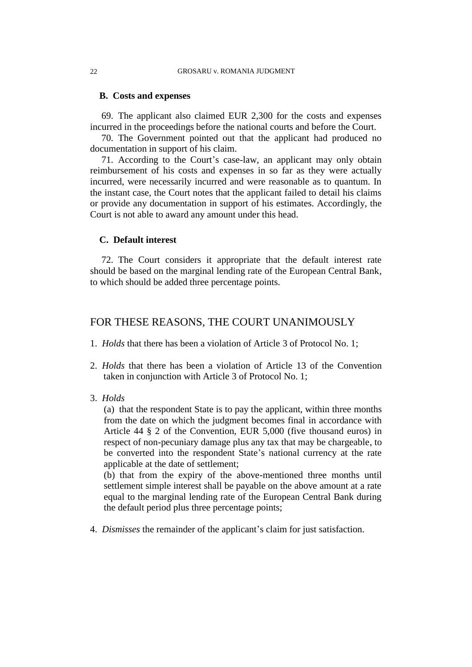## **B. Costs and expenses**

69. The applicant also claimed EUR 2,300 for the costs and expenses incurred in the proceedings before the national courts and before the Court.

70. The Government pointed out that the applicant had produced no documentation in support of his claim.

71. According to the Court's case-law, an applicant may only obtain reimbursement of his costs and expenses in so far as they were actually incurred, were necessarily incurred and were reasonable as to quantum. In the instant case, the Court notes that the applicant failed to detail his claims or provide any documentation in support of his estimates. Accordingly, the Court is not able to award any amount under this head.

## **C. Default interest**

72. The Court considers it appropriate that the default interest rate should be based on the marginal lending rate of the European Central Bank, to which should be added three percentage points.

# FOR THESE REASONS, THE COURT UNANIMOUSLY

- 1. *Holds* that there has been a violation of Article 3 of Protocol No. 1;
- 2. *Holds* that there has been a violation of Article 13 of the Convention taken in conjunction with Article 3 of Protocol No. 1;
- 3. *Holds*

(a) that the respondent State is to pay the applicant, within three months from the date on which the judgment becomes final in accordance with Article 44 § 2 of the Convention, EUR 5,000 (five thousand euros) in respect of non-pecuniary damage plus any tax that may be chargeable, to be converted into the respondent State's national currency at the rate applicable at the date of settlement;

(b) that from the expiry of the above-mentioned three months until settlement simple interest shall be payable on the above amount at a rate equal to the marginal lending rate of the European Central Bank during the default period plus three percentage points;

4. *Dismisses* the remainder of the applicant's claim for just satisfaction.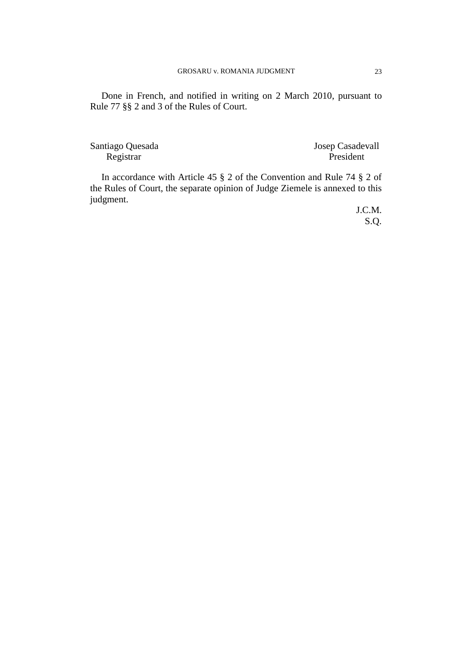Done in French, and notified in writing on 2 March 2010, pursuant to Rule 77 §§ 2 and 3 of the Rules of Court.

Santiago Quesada Josep Casadevall Registrar President

In accordance with Article 45 § 2 of the Convention and Rule 74 § 2 of the Rules of Court, the separate opinion of Judge Ziemele is annexed to this judgment.

> J.C.M. S.Q.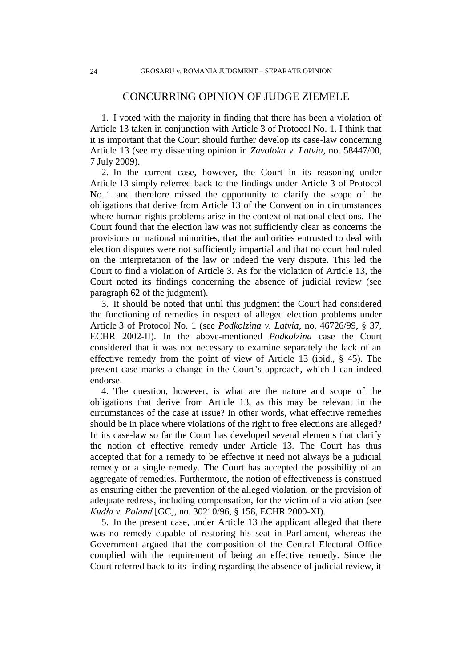# CONCURRING OPINION OF JUDGE ZIEMELE

1. I voted with the majority in finding that there has been a violation of Article 13 taken in conjunction with Article 3 of Protocol No. 1. I think that it is important that the Court should further develop its case-law concerning Article 13 (see my dissenting opinion in *Zavoloka v. Latvia*, no. 58447/00, 7 July 2009).

2. In the current case, however, the Court in its reasoning under Article 13 simply referred back to the findings under Article 3 of Protocol No. 1 and therefore missed the opportunity to clarify the scope of the obligations that derive from Article 13 of the Convention in circumstances where human rights problems arise in the context of national elections. The Court found that the election law was not sufficiently clear as concerns the provisions on national minorities, that the authorities entrusted to deal with election disputes were not sufficiently impartial and that no court had ruled on the interpretation of the law or indeed the very dispute. This led the Court to find a violation of Article 3. As for the violation of Article 13, the Court noted its findings concerning the absence of judicial review (see paragraph 62 of the judgment).

3. It should be noted that until this judgment the Court had considered the functioning of remedies in respect of alleged election problems under Article 3 of Protocol No. 1 (see *Podkolzina v. Latvia*, no. 46726/99, § 37, ECHR 2002-II). In the above-mentioned *Podkolzina* case the Court considered that it was not necessary to examine separately the lack of an effective remedy from the point of view of Article 13 (ibid., § 45). The present case marks a change in the Court's approach, which I can indeed endorse.

4. The question, however, is what are the nature and scope of the obligations that derive from Article 13, as this may be relevant in the circumstances of the case at issue? In other words, what effective remedies should be in place where violations of the right to free elections are alleged? In its case-law so far the Court has developed several elements that clarify the notion of effective remedy under Article 13. The Court has thus accepted that for a remedy to be effective it need not always be a judicial remedy or a single remedy. The Court has accepted the possibility of an aggregate of remedies. Furthermore, the notion of effectiveness is construed as ensuring either the prevention of the alleged violation, or the provision of adequate redress, including compensation, for the victim of a violation (see *Kudła v. Poland* [GC], no. 30210/96, § 158, ECHR 2000-XI).

5. In the present case, under Article 13 the applicant alleged that there was no remedy capable of restoring his seat in Parliament, whereas the Government argued that the composition of the Central Electoral Office complied with the requirement of being an effective remedy. Since the Court referred back to its finding regarding the absence of judicial review, it